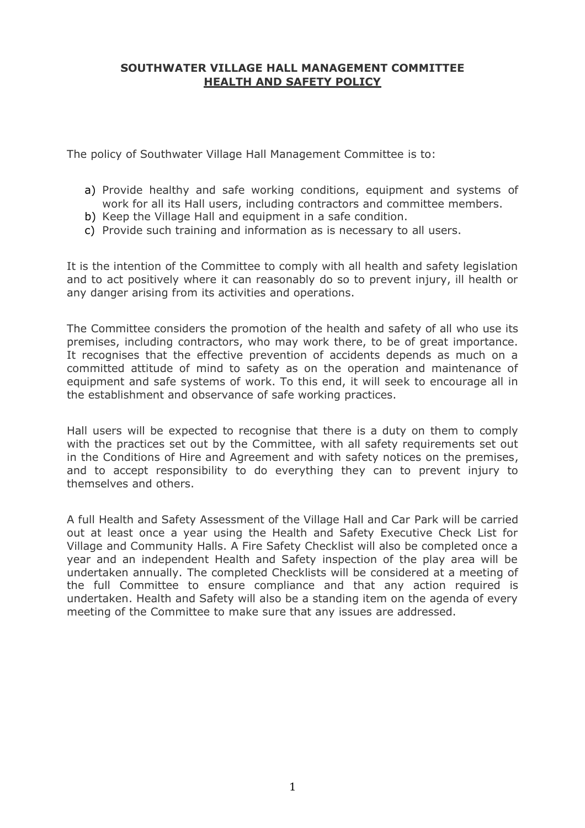#### **SOUTHWATER VILLAGE HALL MANAGEMENT COMMITTEE HEALTH AND SAFETY POLICY**

The policy of Southwater Village Hall Management Committee is to:

- a) Provide healthy and safe working conditions, equipment and systems of work for all its Hall users, including contractors and committee members.
- b) Keep the Village Hall and equipment in a safe condition.
- c) Provide such training and information as is necessary to all users.

It is the intention of the Committee to comply with all health and safety legislation and to act positively where it can reasonably do so to prevent injury, ill health or any danger arising from its activities and operations.

The Committee considers the promotion of the health and safety of all who use its premises, including contractors, who may work there, to be of great importance. It recognises that the effective prevention of accidents depends as much on a committed attitude of mind to safety as on the operation and maintenance of equipment and safe systems of work. To this end, it will seek to encourage all in the establishment and observance of safe working practices.

Hall users will be expected to recognise that there is a duty on them to comply with the practices set out by the Committee, with all safety requirements set out in the Conditions of Hire and Agreement and with safety notices on the premises, and to accept responsibility to do everything they can to prevent injury to themselves and others.

A full Health and Safety Assessment of the Village Hall and Car Park will be carried out at least once a year using the Health and Safety Executive Check List for Village and Community Halls. A Fire Safety Checklist will also be completed once a year and an independent Health and Safety inspection of the play area will be undertaken annually. The completed Checklists will be considered at a meeting of the full Committee to ensure compliance and that any action required is undertaken. Health and Safety will also be a standing item on the agenda of every meeting of the Committee to make sure that any issues are addressed.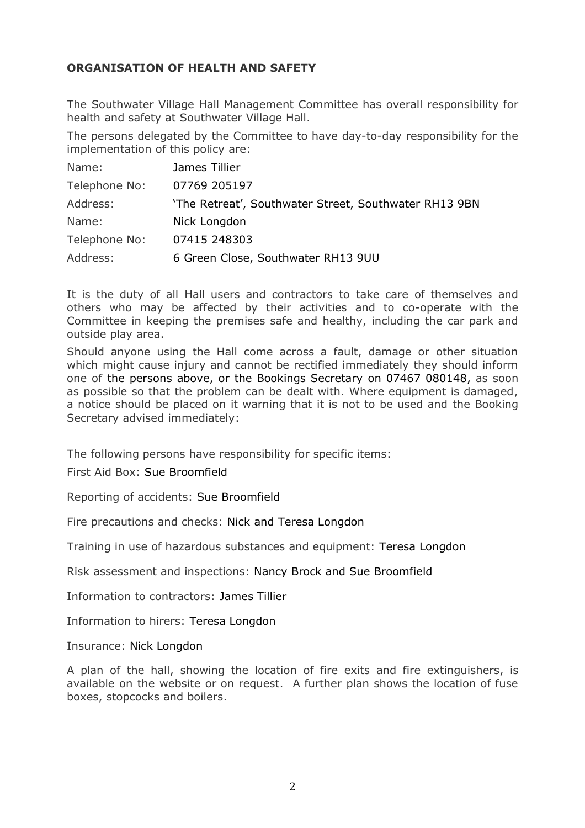## **ORGANISATION OF HEALTH AND SAFETY**

The Southwater Village Hall Management Committee has overall responsibility for health and safety at Southwater Village Hall.

The persons delegated by the Committee to have day-to-day responsibility for the implementation of this policy are:

| Name:         | James Tillier                                         |
|---------------|-------------------------------------------------------|
| Telephone No: | 07769 205197                                          |
| Address:      | 'The Retreat', Southwater Street, Southwater RH13 9BN |
| Name:         | Nick Longdon                                          |
| Telephone No: | 07415 248303                                          |
| Address:      | 6 Green Close, Southwater RH13 9UU                    |

It is the duty of all Hall users and contractors to take care of themselves and others who may be affected by their activities and to co-operate with the Committee in keeping the premises safe and healthy, including the car park and outside play area.

Should anyone using the Hall come across a fault, damage or other situation which might cause injury and cannot be rectified immediately they should inform one of the persons above, or the Bookings Secretary on 07467 080148, as soon as possible so that the problem can be dealt with. Where equipment is damaged, a notice should be placed on it warning that it is not to be used and the Booking Secretary advised immediately:

The following persons have responsibility for specific items:

First Aid Box: Sue Broomfield

Reporting of accidents: Sue Broomfield

Fire precautions and checks: Nick and Teresa Longdon

Training in use of hazardous substances and equipment: Teresa Longdon

Risk assessment and inspections: Nancy Brock and Sue Broomfield

Information to contractors: James Tillier

Information to hirers: Teresa Longdon

Insurance: Nick Longdon

A plan of the hall, showing the location of fire exits and fire extinguishers, is available on the website or on request. A further plan shows the location of fuse boxes, stopcocks and boilers.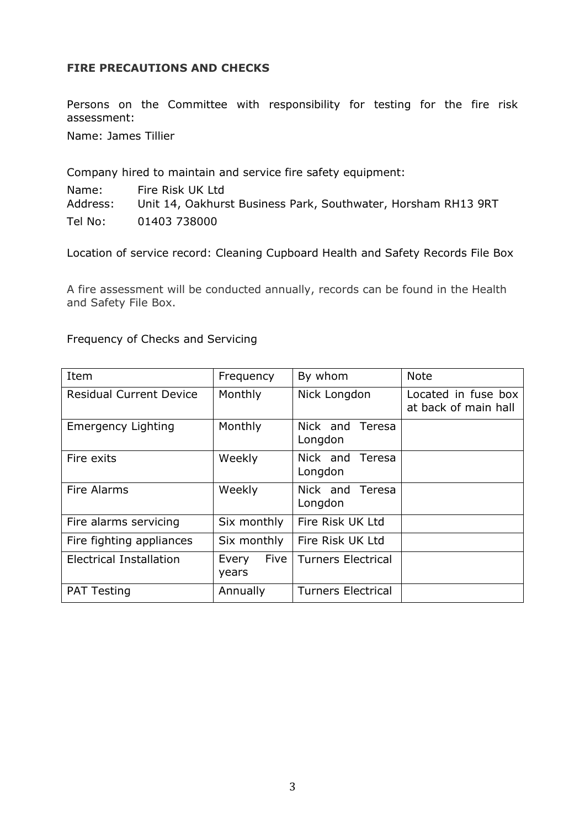## **FIRE PRECAUTIONS AND CHECKS**

Persons on the Committee with responsibility for testing for the fire risk assessment:

Name: James Tillier

Company hired to maintain and service fire safety equipment:

Name: Fire Risk UK Ltd Address: Unit 14, Oakhurst Business Park, Southwater, Horsham RH13 9RT Tel No: 01403 738000

Location of service record: Cleaning Cupboard Health and Safety Records File Box

A fire assessment will be conducted annually, records can be found in the Health and Safety File Box.

|  |  | Frequency of Checks and Servicing |
|--|--|-----------------------------------|
|--|--|-----------------------------------|

| Item                           | Frequency              | By whom                       | <b>Note</b>                                 |
|--------------------------------|------------------------|-------------------------------|---------------------------------------------|
| <b>Residual Current Device</b> | Monthly                | Nick Longdon                  | Located in fuse box<br>at back of main hall |
| <b>Emergency Lighting</b>      | Monthly                | Nick and Teresa<br>Longdon    |                                             |
| Fire exits                     | Weekly                 | Nick and<br>Teresa<br>Longdon |                                             |
| <b>Fire Alarms</b>             | Weekly                 | Nick and<br>Teresa<br>Longdon |                                             |
| Fire alarms servicing          | Six monthly            | Fire Risk UK Ltd              |                                             |
| Fire fighting appliances       | Six monthly            | Fire Risk UK Ltd              |                                             |
| Electrical Installation        | Five<br>Every<br>years | <b>Turners Electrical</b>     |                                             |
| <b>PAT Testing</b>             | Annually               | <b>Turners Electrical</b>     |                                             |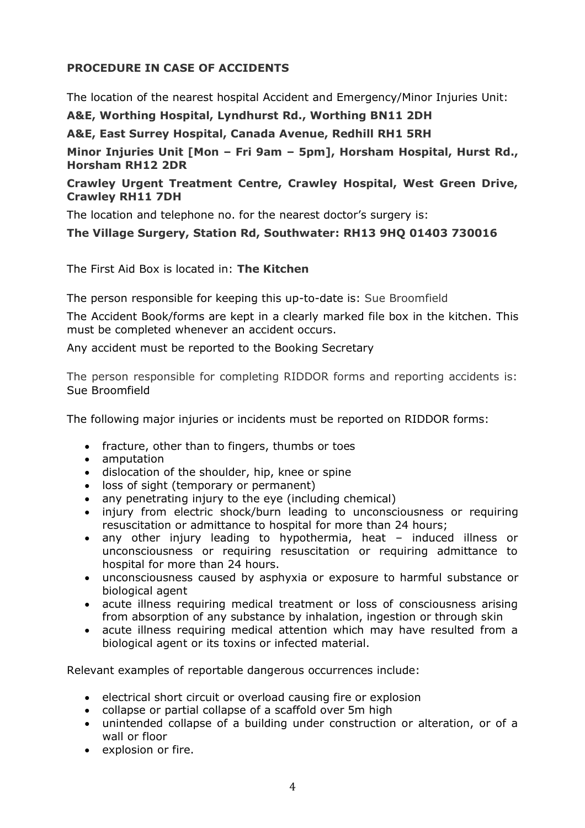# **PROCEDURE IN CASE OF ACCIDENTS**

The location of the nearest hospital Accident and Emergency/Minor Injuries Unit:

**A&E, Worthing Hospital, Lyndhurst Rd., Worthing BN11 2DH**

**A&E, East Surrey Hospital, Canada Avenue, Redhill RH1 5RH**

**Minor Injuries Unit [Mon – Fri 9am – 5pm], Horsham Hospital, Hurst Rd., Horsham RH12 2DR**

## **Crawley Urgent Treatment Centre, Crawley Hospital, West Green Drive, Crawley RH11 7DH**

The location and telephone no. for the nearest doctor's surgery is:

# **The Village Surgery, Station Rd, Southwater: RH13 9HQ 01403 730016**

The First Aid Box is located in: **The Kitchen**

The person responsible for keeping this up-to-date is: Sue Broomfield

The Accident Book/forms are kept in a clearly marked file box in the kitchen. This must be completed whenever an accident occurs.

Any accident must be reported to the Booking Secretary

The person responsible for completing RIDDOR forms and reporting accidents is: Sue Broomfield

The following major injuries or incidents must be reported on RIDDOR forms:

- fracture, other than to fingers, thumbs or toes
- amputation
- dislocation of the shoulder, hip, knee or spine
- loss of sight (temporary or permanent)
- any penetrating injury to the eye (including chemical)
- injury from electric shock/burn leading to unconsciousness or requiring resuscitation or admittance to hospital for more than 24 hours;
- any other injury leading to hypothermia, heat induced illness or unconsciousness or requiring resuscitation or requiring admittance to hospital for more than 24 hours.
- unconsciousness caused by asphyxia or exposure to harmful substance or biological agent
- acute illness requiring medical treatment or loss of consciousness arising from absorption of any substance by inhalation, ingestion or through skin
- acute illness requiring medical attention which may have resulted from a biological agent or its toxins or infected material.

Relevant examples of reportable dangerous occurrences include:

- electrical short circuit or overload causing fire or explosion
- collapse or partial collapse of a scaffold over 5m high
- unintended collapse of a building under construction or alteration, or of a wall or floor
- explosion or fire.